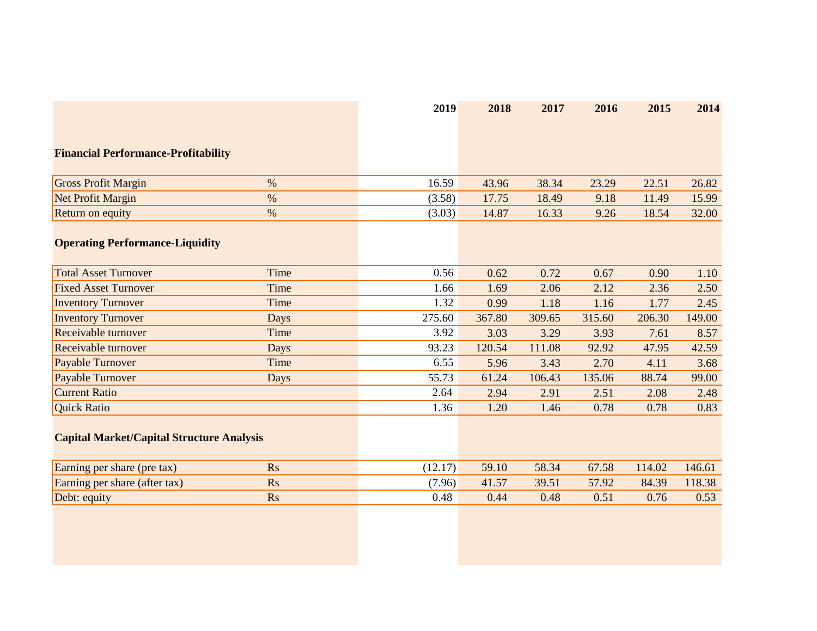|                                                  |           | 2019    | 2018   | 2017   | 2016   | 2015   | 2014   |
|--------------------------------------------------|-----------|---------|--------|--------|--------|--------|--------|
|                                                  |           |         |        |        |        |        |        |
| <b>Financial Performance-Profitability</b>       |           |         |        |        |        |        |        |
| <b>Gross Profit Margin</b>                       | $\%$      | 16.59   | 43.96  | 38.34  | 23.29  | 22.51  | 26.82  |
| Net Profit Margin                                | $\%$      | (3.58)  | 17.75  | 18.49  | 9.18   | 11.49  | 15.99  |
| Return on equity                                 | $\%$      | (3.03)  | 14.87  | 16.33  | 9.26   | 18.54  | 32.00  |
| <b>Operating Performance-Liquidity</b>           |           |         |        |        |        |        |        |
| <b>Total Asset Turnover</b>                      | Time      | 0.56    | 0.62   | 0.72   | 0.67   | 0.90   | 1.10   |
| <b>Fixed Asset Turnover</b>                      | Time      | 1.66    | 1.69   | 2.06   | 2.12   | 2.36   | 2.50   |
| <b>Inventory Turnover</b>                        | Time      | 1.32    | 0.99   | 1.18   | 1.16   | 1.77   | 2.45   |
| <b>Inventory Turnover</b>                        | Days      | 275.60  | 367.80 | 309.65 | 315.60 | 206.30 | 149.00 |
| Receivable turnover                              | Time      | 3.92    | 3.03   | 3.29   | 3.93   | 7.61   | 8.57   |
| Receivable turnover                              | Days      | 93.23   | 120.54 | 111.08 | 92.92  | 47.95  | 42.59  |
| Payable Turnover                                 | Time      | 6.55    | 5.96   | 3.43   | 2.70   | 4.11   | 3.68   |
| Payable Turnover                                 | Days      | 55.73   | 61.24  | 106.43 | 135.06 | 88.74  | 99.00  |
| <b>Current Ratio</b>                             |           | 2.64    | 2.94   | 2.91   | 2.51   | 2.08   | 2.48   |
| <b>Quick Ratio</b>                               |           | 1.36    | 1.20   | 1.46   | 0.78   | 0.78   | 0.83   |
| <b>Capital Market/Capital Structure Analysis</b> |           |         |        |        |        |        |        |
| Earning per share (pre tax)                      | <b>Rs</b> | (12.17) | 59.10  | 58.34  | 67.58  | 114.02 | 146.61 |
| Earning per share (after tax)                    | <b>Rs</b> | (7.96)  | 41.57  | 39.51  | 57.92  | 84.39  | 118.38 |
| Debt: equity                                     | <b>Rs</b> | 0.48    | 0.44   | 0.48   | 0.51   | 0.76   | 0.53   |
|                                                  |           |         |        |        |        |        |        |